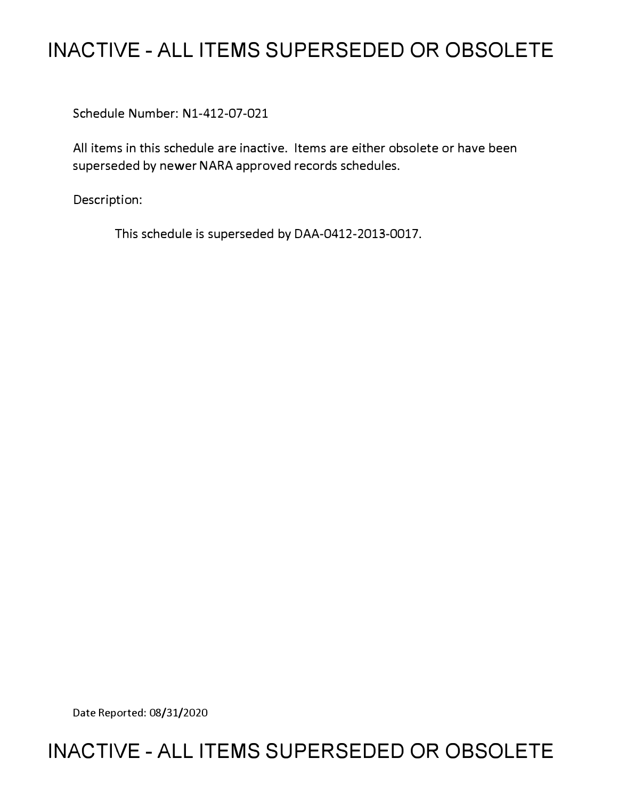# **INACTIVE - ALL ITEMS SUPERSEDED OR OBSOLETE**

Schedule Number: Nl-412-07-021

All items in this schedule are inactive. Items are either obsolete or have been superseded by newer NARA approved records schedules.

Description:

This schedule is superseded by DAA-0412-2013-0017.

Date Reported: 08/31/2020

# **INACTIVE - ALL ITEMS SUPERSEDED OR OBSOLETE**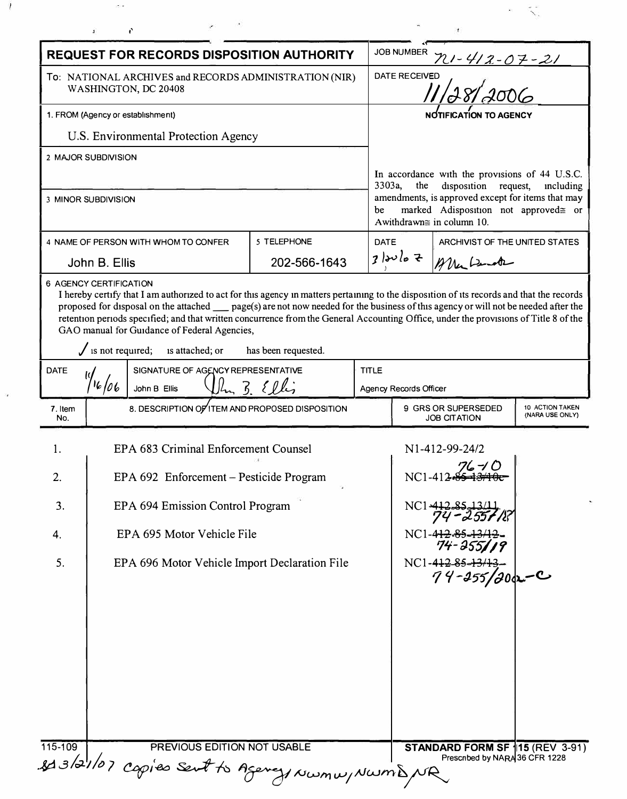|                                                                                | <b>REQUEST FOR RECORDS DISPOSITION AUTHORITY</b>                                                                                                 |              |             | <b>JOB NUMBER</b>                                                                                                            | <u>721 - 412 - 07 - 21</u>                                             |                 |
|--------------------------------------------------------------------------------|--------------------------------------------------------------------------------------------------------------------------------------------------|--------------|-------------|------------------------------------------------------------------------------------------------------------------------------|------------------------------------------------------------------------|-----------------|
| To: NATIONAL ARCHIVES and RECORDS ADMINISTRATION (NIR)<br>WASHINGTON, DC 20408 |                                                                                                                                                  |              |             | $\frac{1}{r}$<br><b>DATE RECEIVED</b>                                                                                        |                                                                        |                 |
| 1. FROM (Agency or establishment)                                              |                                                                                                                                                  |              |             | NOTIFICATION TO AGENCY                                                                                                       |                                                                        |                 |
|                                                                                | U.S. Environmental Protection Agency                                                                                                             |              |             |                                                                                                                              |                                                                        |                 |
|                                                                                | 2 MAJOR SUBDIVISION                                                                                                                              |              |             |                                                                                                                              |                                                                        |                 |
|                                                                                |                                                                                                                                                  |              | 3303a,      | the                                                                                                                          | In accordance with the provisions of 44 U.S.C.<br>disposition request, | including       |
| 3 MINOR SUBDIVISION                                                            |                                                                                                                                                  |              |             | amendments, is approved except for items that may<br>marked Adisposition not approved≅ or<br>be<br>Awithdrawn≅ in column 10. |                                                                        |                 |
|                                                                                | 4 NAME OF PERSON WITH WHOM TO CONFER                                                                                                             | 5 TELEPHONE  | <b>DATE</b> |                                                                                                                              | ARCHIVIST OF THE UNITED STATES                                         |                 |
|                                                                                | John B. Ellis                                                                                                                                    | 202-566-1643 |             | $2$ av $\frac{1}{2}$                                                                                                         | Aller Denote                                                           |                 |
| <b>DATE</b>                                                                    | $\int$ is not required;<br>is attached; or<br>has been requested.<br>SIGNATURE OF AGENCY REPRESENTATIVE<br>Ulm 3. Ellis<br>16106<br>John B Ellis |              |             | <b>TITLE</b>                                                                                                                 |                                                                        |                 |
| $7.$ Item                                                                      | 8. DESCRIPTION OF ITEM AND PROPOSED DISPOSITION                                                                                                  |              |             | Agency Records Officer<br>9 GRS OR SUPERSEDED<br>10 ACTION TAKEN                                                             |                                                                        |                 |
| No.                                                                            |                                                                                                                                                  |              |             |                                                                                                                              |                                                                        |                 |
|                                                                                |                                                                                                                                                  |              |             |                                                                                                                              | <b>JOB CITATION</b>                                                    |                 |
|                                                                                | EPA 683 Criminal Enforcement Counsel                                                                                                             |              |             |                                                                                                                              | N1-412-99-24/2                                                         |                 |
| 2.                                                                             | EPA 692 Enforcement – Pesticide Program                                                                                                          |              |             |                                                                                                                              | NC1-412-85-13/10                                                       |                 |
| 3.                                                                             | EPA 694 Emission Control Program                                                                                                                 |              |             |                                                                                                                              | NC1-412-85-13/11                                                       |                 |
| 4.                                                                             | EPA 695 Motor Vehicle File                                                                                                                       |              |             |                                                                                                                              | NC1-4 <del>12-85-13/12</del> -<br>74-255/19                            |                 |
| 5.                                                                             | EPA 696 Motor Vehicle Import Declaration File                                                                                                    |              |             |                                                                                                                              | NC1-412-85-13/13-<br>$74 - 255/200 - C$                                | (NARA USE ONLY) |
|                                                                                |                                                                                                                                                  |              |             |                                                                                                                              |                                                                        |                 |
|                                                                                |                                                                                                                                                  |              |             |                                                                                                                              |                                                                        |                 |
|                                                                                |                                                                                                                                                  |              |             |                                                                                                                              |                                                                        |                 |
|                                                                                |                                                                                                                                                  |              |             |                                                                                                                              |                                                                        |                 |
|                                                                                |                                                                                                                                                  |              |             |                                                                                                                              |                                                                        |                 |
|                                                                                |                                                                                                                                                  |              |             |                                                                                                                              |                                                                        |                 |

 $\mathcal{I}$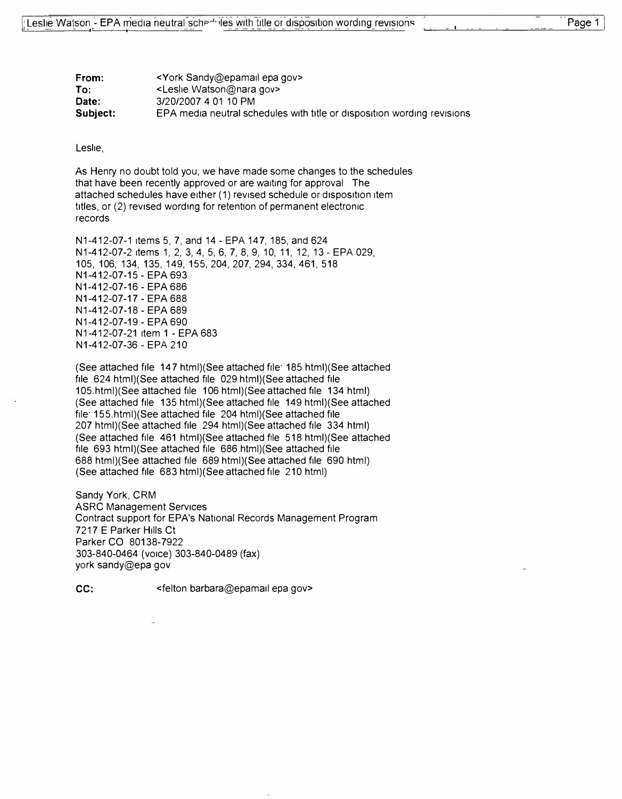| Page 1 |
|--------|
|        |
|        |

| From:    | <york epa="" gov="" sandy@epamail=""></york>                            |
|----------|-------------------------------------------------------------------------|
| To:      | <leslie gov="" watson@nara=""></leslie>                                 |
| Date:    | 3/20/2007 4 01 10 PM                                                    |
| Subject: | EPA media neutral schedules with title or disposition wording revisions |

Leslie,

As Henry no doubt told you, we have made some changes to the schedules that have been recently approved or are waiting for approval The attached schedules have either (1) revised schedule or disposition item titles,or (2) revised wording for retention of permanent electronic records

N1-412-07-1 items 5, 7, and 14 - EPA 147, 185, and 624 N1-412-07-2 items 1, 2, 3, 4, 5, 6, 7, 8, 9, 10, 11, 12, 13 -EPA 029, 105, 106, 134, 135, 149,155,204,207,294,334,461,518 N1-412-07-15 -EPA 693 N1-412-07-16 -EPA 686 N1-412-07-17 -EPA 688 N1-412-07-18 -EPA 689 N1-412-07-19 -EPA 690 N1-412-07-21 item 1 -EPA 683 N1-412-07-36 -EPA 210

(See attached file 147 html)(See attached file· 185 html)(See attached file 624 html)(See attached file 029 html)(See attached file 105.html)(See attached file 106 html)(See attached file 134 html) (See attached file 135 html)(See attached file 149 html)(See attached file· 155.html)(See attached file 204 html)(See attached file 207 html)(See attached file 294 html)(See attached file 334 html) (See attached file 461 html)(See attached file 518 html)(See attached file 693 html)(See attached file 686 html)(See attached file 688 html)(See attached file 689 html)(See attached file 690 html) (See attached file 683 html)(See attached file 210 html)

Sandy York, CRM ASRC Management Services Contract support for EPA's National Records Management Program 7217 E Parker Hills Ct Parker CO 80138-7922 303-840-0464 (voice) 303-840-0489 (fax) york sandy@epa gov

**CC:**  $\leq$  <felton barbara@epamail epa gov>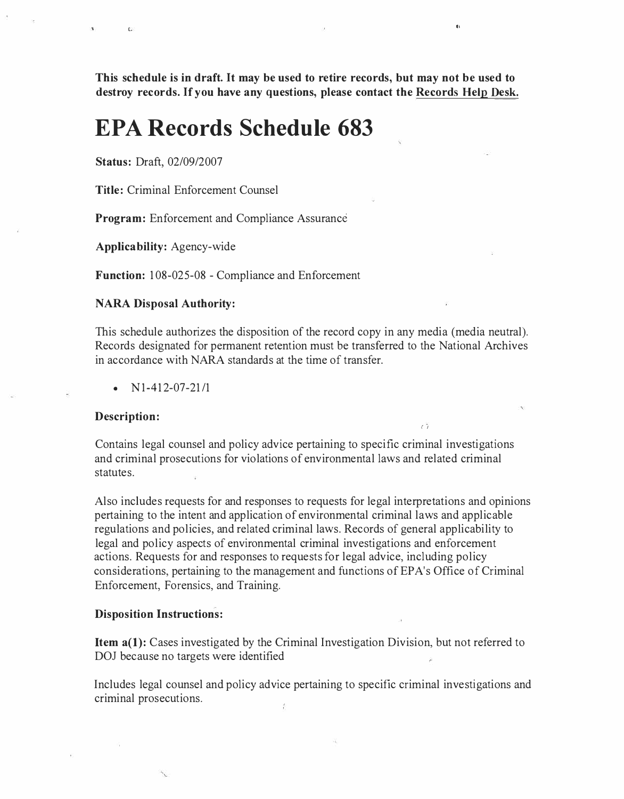**This schedule is in draft. It may be used to retire records, but may not be used to destroy records. If you have any questions, please contact the Records Help Desk.** 

**t,** 

*( I* 

# **EPA Records Schedule 683**

**Status:** Draft, 02/09/2007

**Title:** Criminal Enforcement Counsel

Program: Enforcement and Compliance Assurance

**Applicability:** Agency-wide

**Function:** 108-025-08 - Compliance and Enforcement

#### **NARA Disposal Authority:**

This schedule authorizes the disposition of the record copy in any media (media neutral). Records designated for permanent retention must be transferred to the National Archives in accordance with NARA standards at the time of transfer.

•  $N1-412-07-21/1$ 

#### **Description:**

Contains legal counsel and policy advice pertaining to specific criminal investigations and criminal prosecutions for violations of environmental laws and related criminal statutes.

Also includes requests for and responses to requests for legal interpretations and opinions pertaining to the intent and application of environmental criminal laws and applicable regulations and policies, and related criminal laws. Records of general applicability to legal and policy aspects of environmental criminal investigations and enforcement actions. Requests for and responses to requests for legal advice, including policy considerations, pertaining to the management and functions of EP A's Office of Criminal Enforcement, Forensics, and Training.

#### **Disposition Instructions:**

**Item a(1):** Cases investigated by the Criminal Investigation Division, but not referred to DOJ because no targets were identified

Includes legal counsel and policy advice pertaining to specific criminal investigations and criminal prosecutions.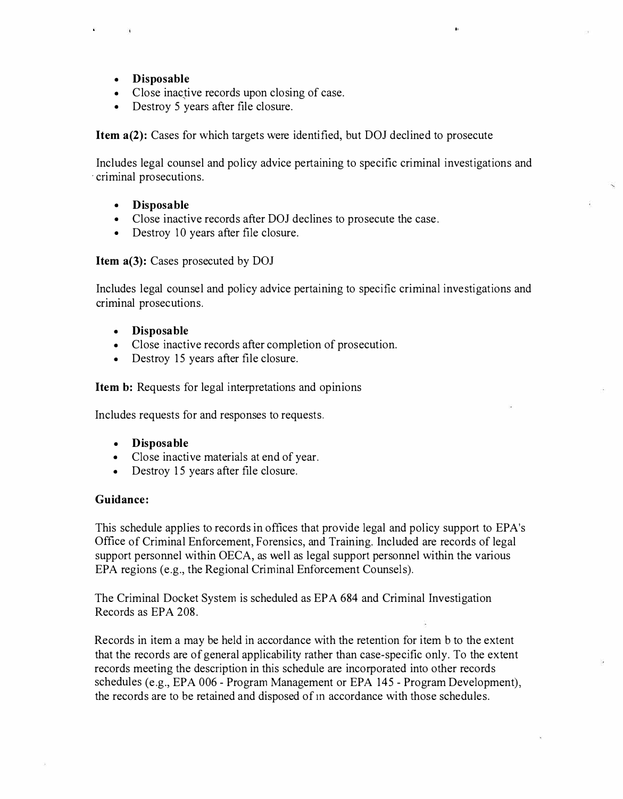- **Disposable**
- Close inactive records upon closing of case.
- Destroy 5 years after file closure.

**Item a(2):** Cases for which targets were identified, but *DOI* declined to prosecute

Includes legal counsel and policy advice pertaining to specific criminal investigations and · criminal prosecutions.

,,

- **Disposable**
- Close inactive records after *DOI* declines to prosecute the case.
- Destroy 10 years after file closure.

**Item a(3):** Cases prosecuted by *DOI* 

Includes legal counsel and policy advice pertaining to specific criminal investigations and criminal prosecutions.

- **Disposable**
- Close inactive records after completion of prosecution.<br>• Destroy 15 years after file closure.
- Destroy 15 years after file closure.

**Item b:** Requests for legal interpretations and opinions

Includes requests for and responses to requests.

- **Disposable**
- Close inactive materials at end of year.
- Destroy 15 years after file closure.

#### **Guidance:**

This schedule applies to records in offices that provide legal and policy support to EP A's Office of Criminal Enforcement, Forensics, and Training. Included are records of legal support personnel within OECA, as well as legal support personnel within the various EPA regions (e.g., the Regional Criminal Enforcement Counsels).

The Criminal Docket System is scheduled as EPA 684 and Criminal Investigation Records as EPA 208.

Records in item a may be held in accordance with the retention for item b to the extent that the records are of general applicability rather than case-specific only. To the extent records meeting the description in this schedule are incorporated into other records schedules (e.g., EPA 006 - Program Management or EPA 145 - Program Development), the records are to be retained and disposed of m accordance with those schedules.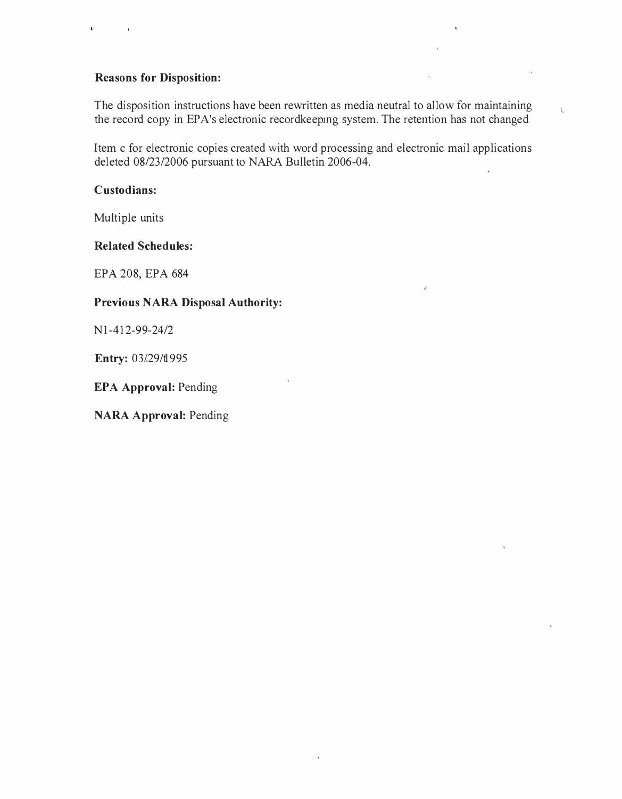#### **Reasons for Disposition:**

The disposition instructions have been rewritten as media neutral to allow for maintaining the record copy in EPA's electronic recordkeeping system. The retention has not changed

k.

Item c for electronic copies created with word processing and electronic mail applications deleted 08/23/2006 pursuant to NARA Bulletin 2006-04.

ý,

#### **Custodians:**

Multiple units

#### **Related Schedules:**

EPA 208, EPA 684

#### **Previous NARA Disposal Authority:**

Nl-412-99-24/2

**Entry:** 03/.29/t1995

**EPA Approval:** Pending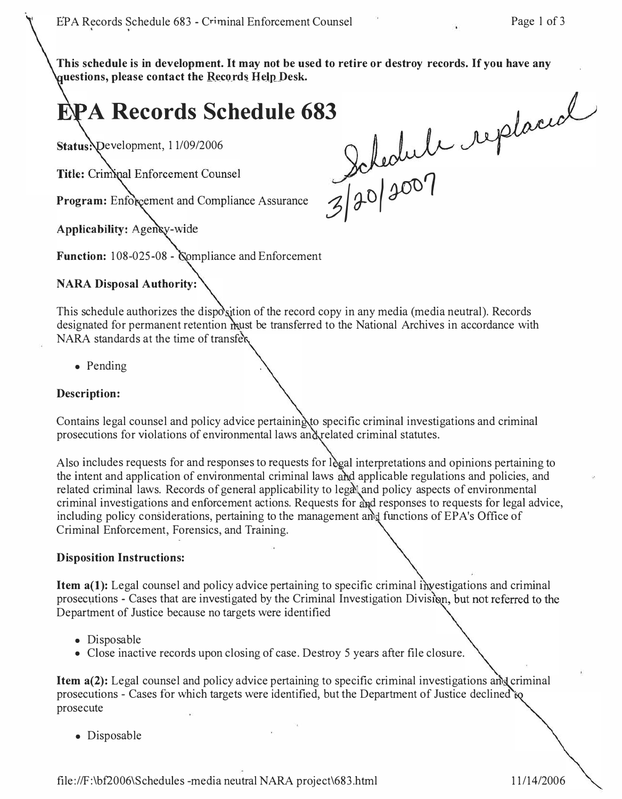**This schedule is in development. It may not be used to retire or destroy records. If you have any questions, please contact the Records Help Desk.** 

# **A Records Schedule 683**

Status: Development, 11/09/2006

Fite: Criminal Enforcement Counsel<br>Program: Enforcement and Compliance Assurance *3* 20 <sup>300</sup><br>Applicability: Agency-wide

Function: 108-025-08 - Compliance and Enforcement

# **NARA Disposal Authority:**

This schedule authorizes the disposition of the record copy in any media (media neutral). Records designated for permanent retention must be transferred to the National Archives in accordance with NARA standards at the time of transfer

• Pending

# **Description:**

Contains legal counsel and policy advice pertaining to specific criminal investigations and criminal prosecutions for violations of environmental laws and related criminal statutes.

Also includes requests for and responses to requests for legal interpretations and opinions pertaining to the intent and application of environmental criminal laws and applicable regulations and policies, and related criminal laws. Records of general applicability to legal and policy aspects of environmental criminal investigations and enforcement actions. Requests for and responses to requests for legal advice, including policy considerations, pertaining to the management and functions of EPA's Office of Criminal Enforcement, Forensics, and Training.

# **Disposition Instructions:**

**Item a(1):** Legal counsel and policy advice pertaining to specific criminal investigations and criminal prosecutions - Cases that are investigated by the Criminal Investigation Division, but not referred to the Department of Justice because no targets were identified

- Disposable
- Close inactive records upon closing of case. Destroy 5 years after file closure.

**Item a(2):** Legal counsel and policy advice pertaining to specific criminal investigations and criminal prosecutions - Cases for which targets were identified, but the Department of Justice declined prosecute

• Disposable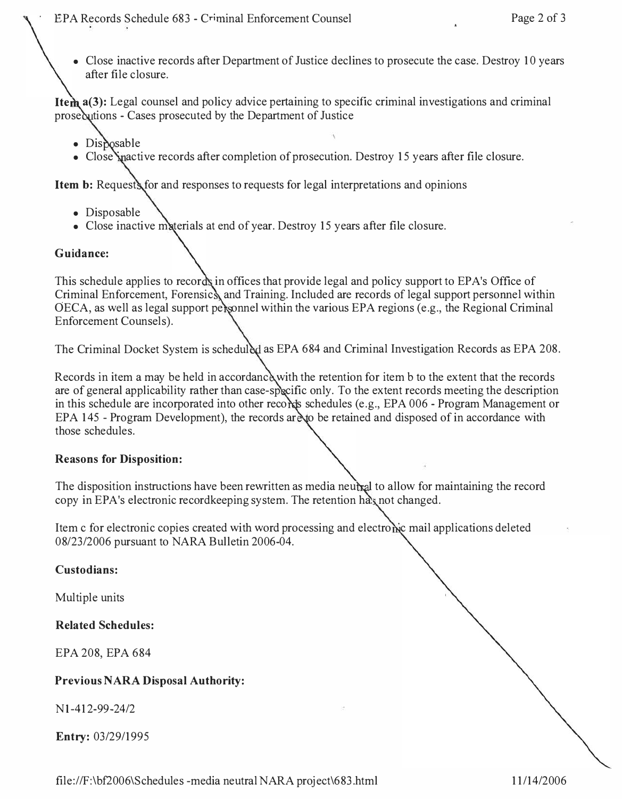• Close inactive records after Department of Justice declines to prosecute the case. Destroy 10 years after file closure.

**Item a(3):** Legal counsel and policy advice pertaining to specific criminal investigations and criminal prosecutions - Cases prosecuted by the Department of Justice

- Disposable
- Close inactive records after completion of prosecution. Destroy 15 years after file closure.

**Item b:** Requests for and responses to requests for legal interpretations and opinions

- Disposable
- Close inactive materials at end of year. Destroy 15 years after file closure.

## **Guidance:**

This schedule applies to records in offices that provide legal and policy support to EPA's Office of Criminal Enforcement, Forensics, and Training. Included are records of legal support personnel within OECA, as well as legal support personnel within the various EPA regions (e.g., the Regional Criminal Enforcement Counsels).

The Criminal Docket System is scheduled as EPA 684 and Criminal Investigation Records as EPA 208.

Records in item a may be held in accordance with the retention for item b to the extent that the records are of general applicability rather than case-specific only. To the extent records meeting the description in this schedule are incorporated into other records schedules (e.g., EPA 006 - Program Management or EPA 145 - Program Development), the records are to be retained and disposed of in accordance with those schedules.

## **Reasons for Disposition:**

The disposition instructions have been rewritten as media neutral to allow for maintaining the record copy in EPA's electronic recordkeeping system. The retention has not changed.

Item c for electronic copies created with word processing and electronic mail applications deleted 08/23/2006 pursuant to NARA Bulletin 2006-04.

#### **Custodians:**

Multiple units

**Related Schedules:** 

EPA 208, EPA 684

## **Previous NARA Disposal Authority:**

Nl-412-99-24/2

**Entry:** 03/29/1995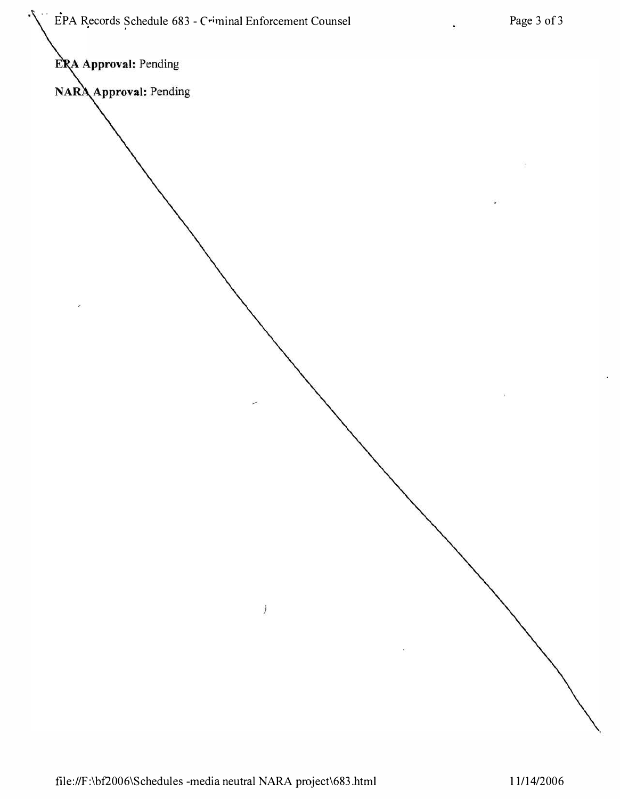ERA Approval: Pending

NARA Approval: Pending

 $\mathfrak j$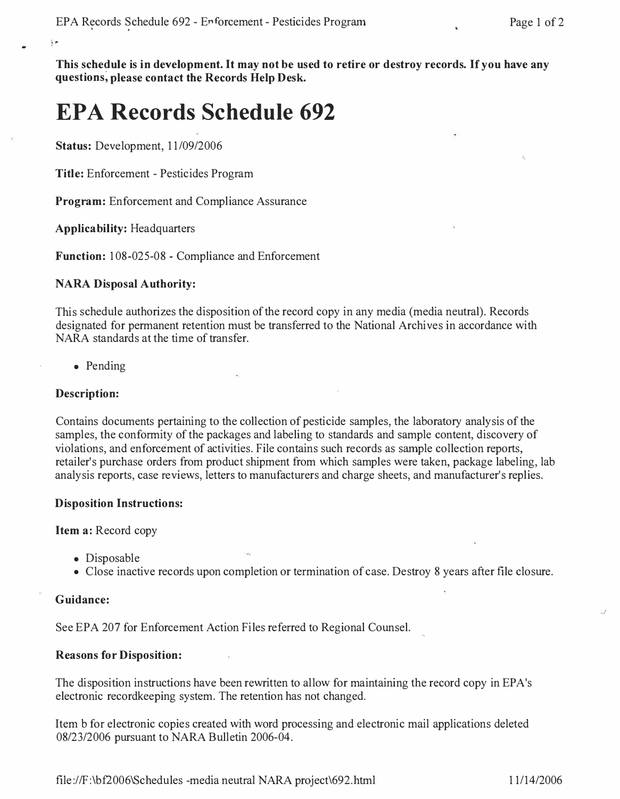**This schedule is in development. It may not be used to retire or destroy records. If you have any questions� please contact the Records Help Desk.** 

# **EPA Records Schedule 692**

**Status:** Development, 1 1/09/2006

**Title:** Enforcement - Pesticides Program

**Program:** Enforcement and Compliance Assurance

**Applicability:** Headquarters

**Function:** 108-025-08 - Compliance and Enforcement

#### **NARA Disposal Authority:**

This schedule authorizes the disposition of the record copy in any media (media neutral). Records designated for permanent retention must be transferred to the National Archives in accordance with NARA standards at the time of transfer.

• Pending

#### **Description:**

Contains documents pertaining to the collection of pesticide samples, the laboratory analysis of the samples, the conformity of the packages and labeling to standards and sample content, discovery of violations, and enforcement of activities. File contains such records as sample collection reports, retailer's purchase orders from product shipment from which samples were taken, package labeling, lab analysis reports, case reviews, letters to manufacturers and charge sheets, and manufacturer's replies.

#### **Disposition Instructions:**

**Item a:** Record copy

- Disposable
- Close inactive records upon completion or termination of case. Destroy 8 years after file closure.

#### **Guidance:**

See EPA 207 for Enforcement Action Files referred to Regional Counsel.

#### **Reasons for Disposition:**

The disposition instructions have been rewritten to allow for maintaining the record copy in EP A's electronic recordkeeping system. The retention has not changed.

Item b for electronic copies created with word processing and electronic mail applications deleted 08/23/2006 pursuant to NARA Bulletin 2006-04.

<file://F:\bf2006\Schedules> -media neutral NARA project\692.html 11/14/2006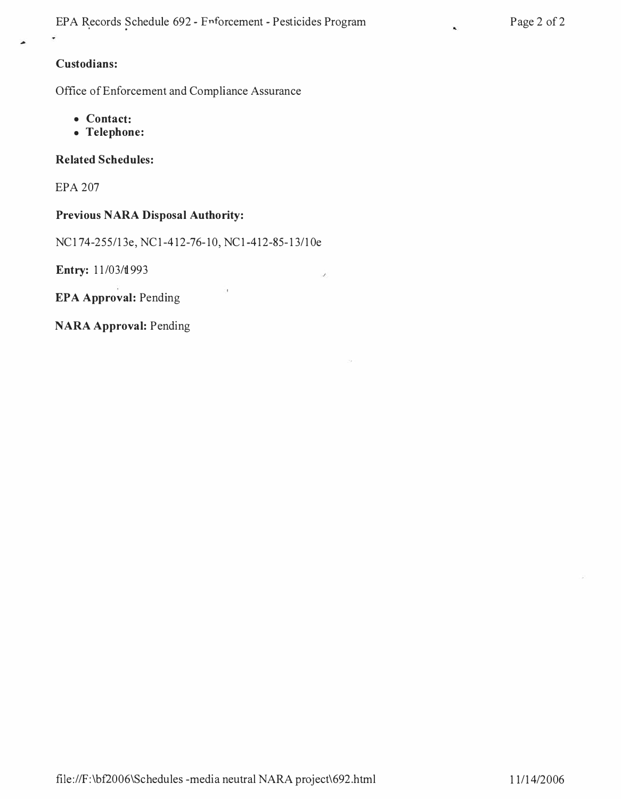# **Custodians:**

Office of Enforcement and Compliance Assurance

- **Contact:**
- **Telephone:**

### **Related Schedules:**

EPA 207

# **Previous NARA Disposal Authority:**

NC174-255/13e, NC1-412-76-10, NC1-412-85-13/10e

**Entry:** 11/03/t1993

**EPA Approval:** Pending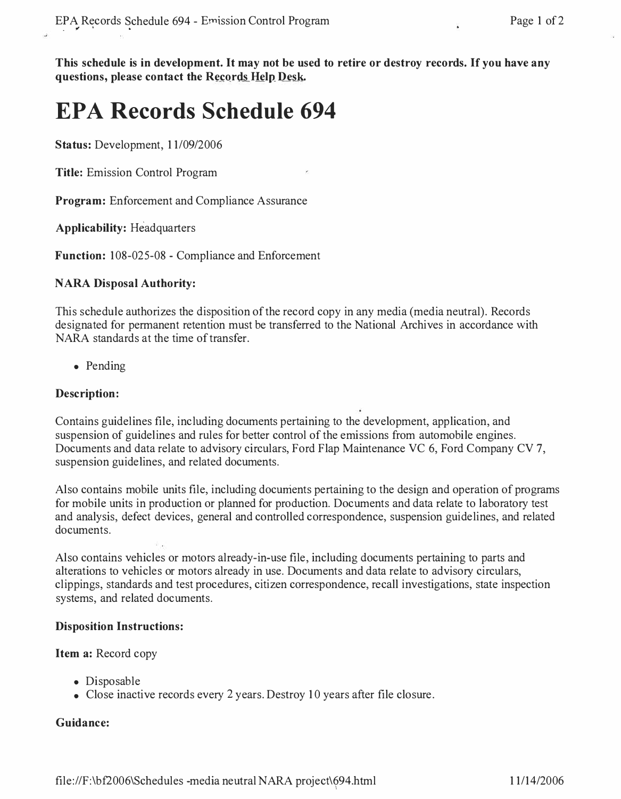**This schedule is in development. It may not be used to retire or destroy records. If you have any questions, please contact the Records\_Help Desk.** 

# **EPA Records Schedule 694**

**Status:** Development, 11/09/2006

**Title:** Emission Control Program

**Program:** Enforcement and Compliance Assurance

**Applicability:** Headquarters

**Function:** 108-025-08 - Compliance and Enforcement

#### **NARA Disposal Authority:**

This schedule authorizes the disposition of the record copy in any media (media neutral). Records designated for permanent retention must be transferred to the National Archives in accordance with NARA standards at the time of transfer.

• Pending

#### **Description:**

Contains guidelines file, including documents pertaining to the development, application, and suspension of guidelines and rules for better control of the emissions from automobile engines. Documents and data relate to advisory circulars, Ford Flap Maintenance VC 6, Ford Company CV 7, suspension guidelines, and related documents.

Also contains mobile units file, including documents pertaining to the design and operation of programs for mobile units in production or planned for production. Documents and data relate to laboratory test and analysis, defect devices, general and controlled correspondence, suspension guidelines, and related documents.

Also contains vehicles or motors already-in-use file, including documents pertaining to parts and alterations to vehicles or motors already in use. Documents and data relate to advisory circulars, clippings, standards and test procedures, citizen correspondence, recall investigations, state inspection systems, and related documents.

#### **Disposition Instructions:**

#### **Item a:** Record copy

- Disposable
- Close inactive records every 2 years. Destroy 10 years after file closure.

#### **Guidance:**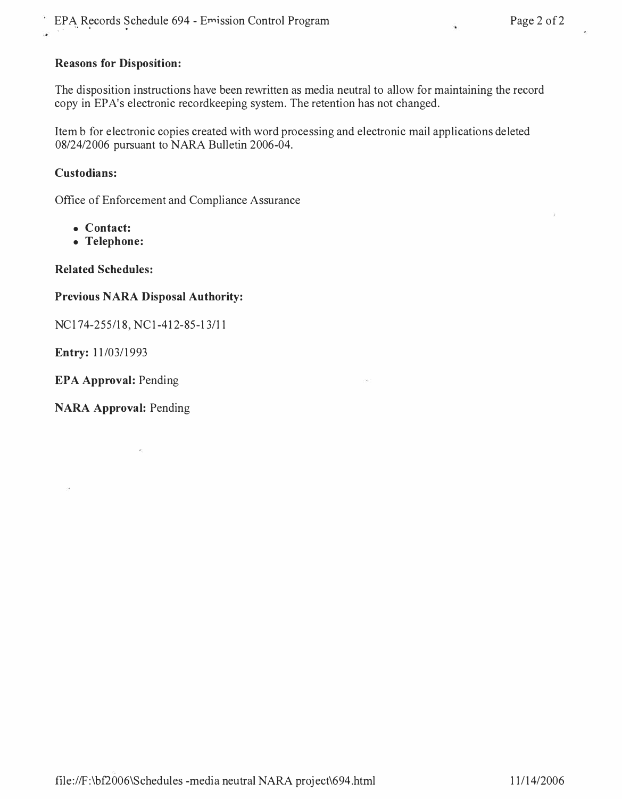#### **Reasons for Disposition:**

The disposition instructions have been rewritten as media neutral to allow for maintaining the record copy in EP A's electronic recordkeeping system. The retention has not changed.

Item b for electronic copies created with word processing and electronic mail applications deleted 08/24/2006 pursuant to NARA Bulletin 2006-04.

#### **Custodians:**

<sup>I</sup>'

Office of Enforcement and Compliance Assurance

- **Contact:**
- **Telephone:**

**Related Schedules:** 

#### **Previous NARA Disposal Authority:**

NCI 74-255/18, NCl-412-85-13/11

**Entry:** 11/03/1993

**EPA Approval:** Pending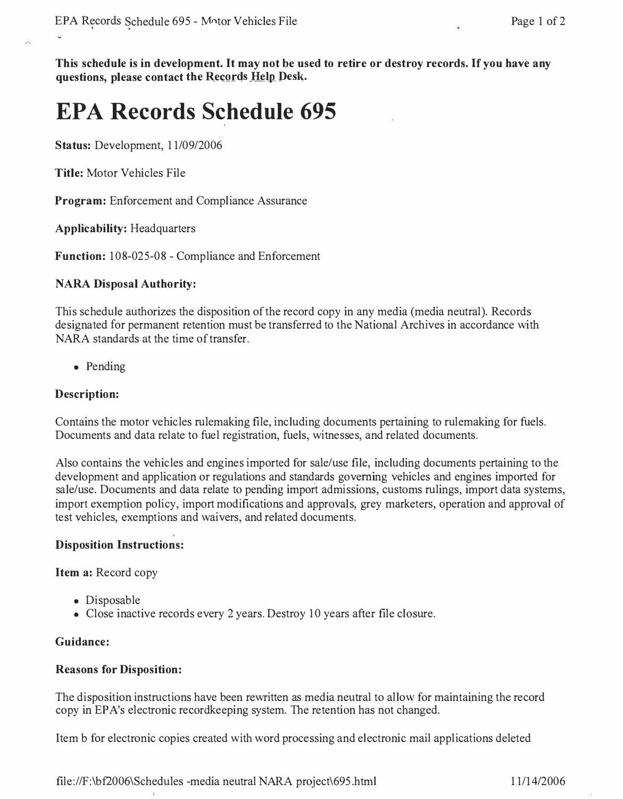**This schedule is in development. It may not be used to retire or destroy records. If you have any**  questions, please contact the Records Help Desk.

# **EPA Records Schedule 695**

**Status:** Development, 1 1/09/2006

**Title:** Motor Vehicles File

**Program:** Enforcement and Compliance Assurance

**Applicability:** Headquarters

**Function:** 108-025-08 - Compliance and Enforcement

#### **NARA Disposal Authority:**

This schedule authorizes the disposition of the record copy in any media (media neutral). Records designated for permanent retention must be transferred to the National Archives in accordance with NARA standards at the time of transfer.

• Pending

#### **Description:**

Contains the motor vehicles rulemaking file, including documents pertaining to rulemaking for fuels. Documents and data relate to fuel registration, fuels, witnesses, and related documents.

Also contains the vehicles and engines imported for sale/use file, including documents pertaining to the development and application or regulations and standards governing vehicles and engines imported for sale/use. Documents and data relate to pending import admissions, customs rulings, import data systems, import exemption policy, import modifications and approvals, grey marketers, operation and approval of test vehicles, exemptions and waivers, and related documents.

#### **Disposition Instructions:**

**Item a:** Record copy

- Disposable
- Close inactive records every 2 years. Destroy 10 years after file closure.

#### **Guidance:**

#### **Reasons for Disposition:**

The disposition instructions have been rewritten as media neutral to allow for maintaining the record copy in EPA's electronic recordkeeping system. The retention has not changed.

Item b for electronic copies created with word processing and electronic mail applications deleted

<file://F:\bf2006\Schedules> -media neutral NARA project\695.html 1 1/14/2006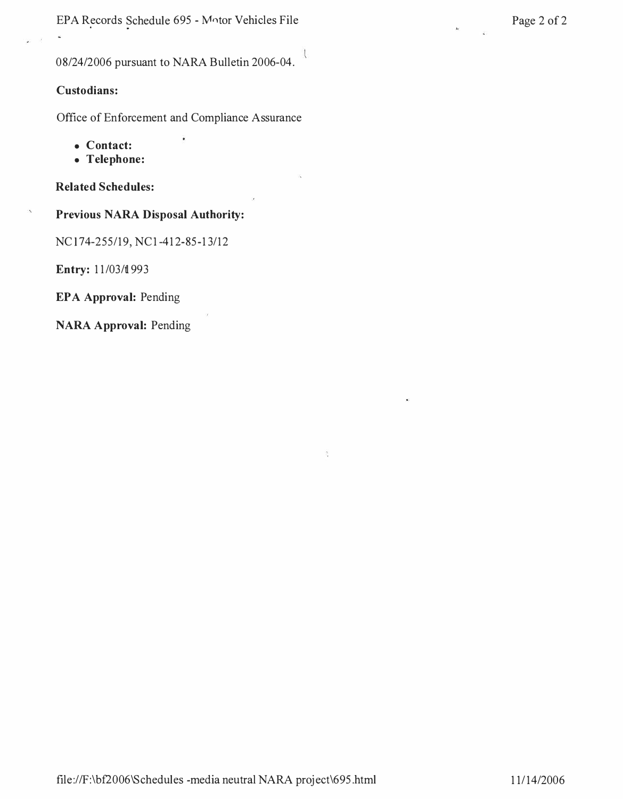EPA Records Schedule 695 - Motor Vehicles File Page 2 of 2

08/24/2006 pursuant to NARA Bulletin 2006-04.

#### **Custodians:**

Office of Enforcement and Compliance Assurance

- **Contact:**
- **Telephone:**

**Related Schedules:** 

**Previous NARA Disposal Authority:** 

NCI 74-255/19, NCl-4 12-85-13/12

**Entry:** 11/03/1993

**EPA Approval:** Pending

**NARA Approval:** Pending

Â,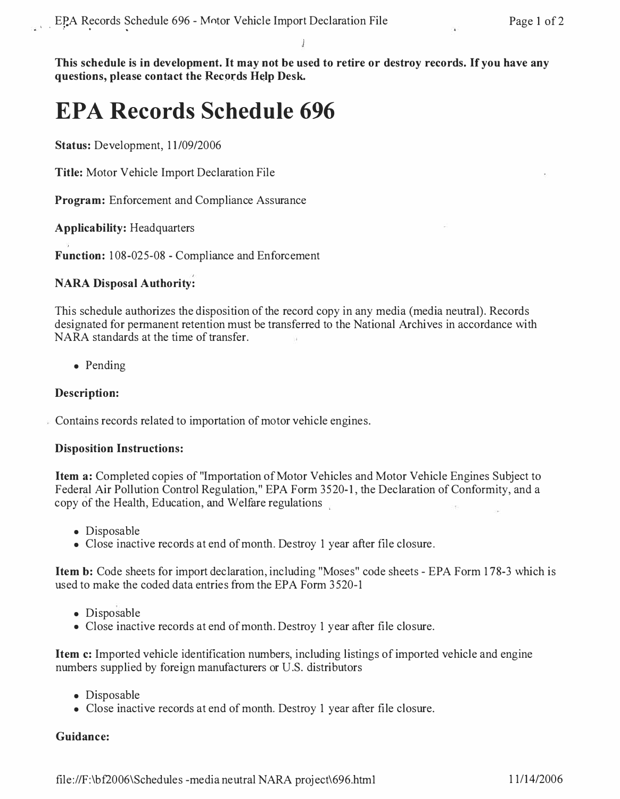$\mathbf{1}$ 

**This schedule is in development. It may not be used to retire or destroy records. If you have any questions, please contact the Rec9rds H�lp Desk.** 

# **EPA Records Schedule 696**

**Status:** Development, 11/09/2006

**Title:** Motor Vehicle Import Declaration File

**Program:** Enforcement and Compliance Assurance

**Applicability:** Headquarters

**Function:** 108-025-08 - Compliance and Enforcement

#### **NARA Disposal Authority:**

This schedule authorizes the disposition of the record copy in any media (media neutral). Records designated for permanent retention must be transferred to the National Archives in accordance with NARA standards at the time of transfer.

• Pending

#### **Description:**

Contains records related to importation of motor vehicle engines.

#### **Disposition Instructions:**

**Item a:** Completed copies of "Importation of Motor Vehicles and Motor Vehicle Engines Subject to Federal Air Pollution Control Regulation," EPA Form 3520-1, the Declaration of Conformity, and a copy of the Health, Education, and Welfare regulations

- Disposable
- Close inactive records at end of month. Destroy 1 year after file closure.

**Item b:** Code sheets for import declaration, including "Moses" code sheets - EPA Form 178-3 which is used to make the coded data entries from the EPA Form 3520-1

- Disposable
- Close inactive records at end of month. Destroy 1 year after file closure.

**Item c:** Imported vehicle identification numbers, including listings of imported vehicle and engine numbers supplied by foreign manufacturers or U.S. distributors

- Disposable
- Close inactive records at end of month. Destroy 1 year after file closure.

#### **Guidance:**